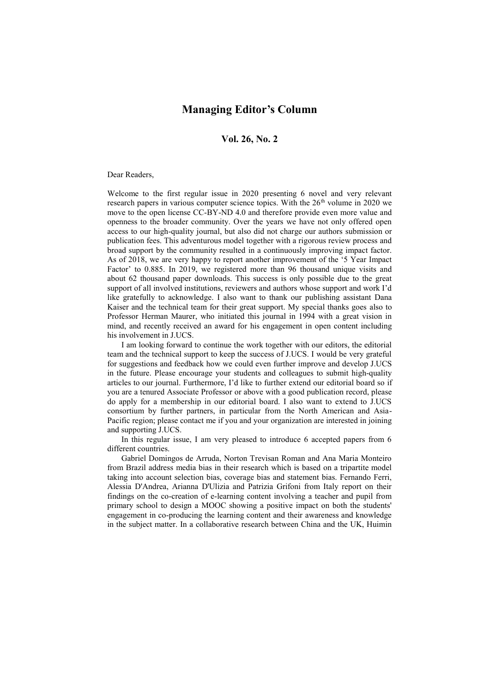## **Managing Editor's Column**

## **Vol. 26, No. 2**

## Dear Readers,

Welcome to the first regular issue in 2020 presenting 6 novel and very relevant research papers in various computer science topics. With the 26<sup>th</sup> volume in 2020 we move to the open license CC-BY-ND 4.0 and therefore provide even more value and openness to the broader community. Over the years we have not only offered open access to our high-quality journal, but also did not charge our authors submission or publication fees. This adventurous model together with a rigorous review process and broad support by the community resulted in a continuously improving impact factor. As of 2018, we are very happy to report another improvement of the '5 Year Impact Factor' to 0.885. In 2019, we registered more than 96 thousand unique visits and about 62 thousand paper downloads. This success is only possible due to the great support of all involved institutions, reviewers and authors whose support and work I'd like gratefully to acknowledge. I also want to thank our publishing assistant Dana Kaiser and the technical team for their great support. My special thanks goes also to Professor Herman Maurer, who initiated this journal in 1994 with a great vision in mind, and recently received an award for his engagement in open content including his involvement in J.UCS.

I am looking forward to continue the work together with our editors, the editorial team and the technical support to keep the success of J.UCS. I would be very grateful for suggestions and feedback how we could even further improve and develop J.UCS in the future. Please encourage your students and colleagues to submit high-quality articles to our journal. Furthermore, I'd like to further extend our editorial board so if you are a tenured Associate Professor or above with a good publication record, please do apply for a membership in our editorial board. I also want to extend to J.UCS consortium by further partners, in particular from the North American and Asia-Pacific region; please contact me if you and your organization are interested in joining and supporting J.UCS.

In this regular issue, I am very pleased to introduce 6 accepted papers from 6 different countries.

Gabriel Domingos de Arruda, Norton Trevisan Roman and Ana Maria Monteiro from Brazil address media bias in their research which is based on a tripartite model taking into account selection bias, coverage bias and statement bias. Fernando Ferri, Alessia D'Andrea, Arianna D'Ulizia and Patrizia Grifoni from Italy report on their findings on the co-creation of e-learning content involving a teacher and pupil from primary school to design a MOOC showing a positive impact on both the students' engagement in co-producing the learning content and their awareness and knowledge in the subject matter. In a collaborative research between China and the UK, Huimin